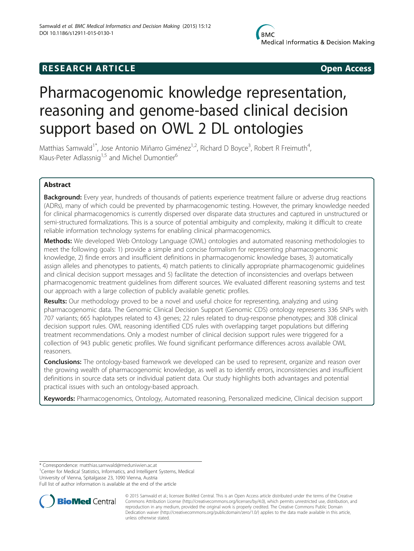# **RESEARCH ARTICLE Example 2014 CONSIDERING CONSIDERING CONSIDERING CONSIDERING CONSIDERING CONSIDERING CONSIDERING CONSIDERING CONSIDERING CONSIDERING CONSIDERING CONSIDERING CONSIDERING CONSIDERING CONSIDERING CONSIDE**

# Pharmacogenomic knowledge representation, reasoning and genome-based clinical decision support based on OWL 2 DL ontologies

Matthias Samwald<sup>1\*</sup>, Jose Antonio Miñarro Giménez<sup>1,2</sup>, Richard D Boyce<sup>3</sup>, Robert R Freimuth<sup>4</sup> , Klaus-Peter Adlassnig<sup>1,5</sup> and Michel Dumontier<sup>6</sup>

# Abstract

Background: Every year, hundreds of thousands of patients experience treatment failure or adverse drug reactions (ADRs), many of which could be prevented by pharmacogenomic testing. However, the primary knowledge needed for clinical pharmacogenomics is currently dispersed over disparate data structures and captured in unstructured or semi-structured formalizations. This is a source of potential ambiguity and complexity, making it difficult to create reliable information technology systems for enabling clinical pharmacogenomics.

Methods: We developed Web Ontology Language (OWL) ontologies and automated reasoning methodologies to meet the following goals: 1) provide a simple and concise formalism for representing pharmacogenomic knowledge, 2) finde errors and insufficient definitions in pharmacogenomic knowledge bases, 3) automatically assign alleles and phenotypes to patients, 4) match patients to clinically appropriate pharmacogenomic guidelines and clinical decision support messages and 5) facilitate the detection of inconsistencies and overlaps between pharmacogenomic treatment guidelines from different sources. We evaluated different reasoning systems and test our approach with a large collection of publicly available genetic profiles.

Results: Our methodology proved to be a novel and useful choice for representing, analyzing and using pharmacogenomic data. The Genomic Clinical Decision Support (Genomic CDS) ontology represents 336 SNPs with 707 variants; 665 haplotypes related to 43 genes; 22 rules related to drug-response phenotypes; and 308 clinical decision support rules. OWL reasoning identified CDS rules with overlapping target populations but differing treatment recommendations. Only a modest number of clinical decision support rules were triggered for a collection of 943 public genetic profiles. We found significant performance differences across available OWL reasoners.

**Conclusions:** The ontology-based framework we developed can be used to represent, organize and reason over the growing wealth of pharmacogenomic knowledge, as well as to identify errors, inconsistencies and insufficient definitions in source data sets or individual patient data. Our study highlights both advantages and potential practical issues with such an ontology-based approach.

Keywords: Pharmacogenomics, Ontology, Automated reasoning, Personalized medicine, Clinical decision support

Full list of author information is available at the end of the article



<sup>© 2015</sup> Samwald et al.; licensee BioMed Central. This is an Open Access article distributed under the terms of the Creative Commons Attribution License [\(http://creativecommons.org/licenses/by/4.0\)](http://creativecommons.org/licenses/by/4.0), which permits unrestricted use, distribution, and reproduction in any medium, provided the original work is properly credited. The Creative Commons Public Domain Dedication waiver [\(http://creativecommons.org/publicdomain/zero/1.0/](http://creativecommons.org/publicdomain/zero/1.0/)) applies to the data made available in this article, unless otherwise stated.

<sup>\*</sup> Correspondence: [matthias.samwald@meduniwien.ac.at](mailto:matthias.samwald@meduniwien.ac.at) <sup>1</sup>

<sup>&</sup>lt;sup>1</sup> Center for Medical Statistics, Informatics, and Intelligent Systems, Medical

University of Vienna, Spitalgasse 23, 1090 Vienna, Austria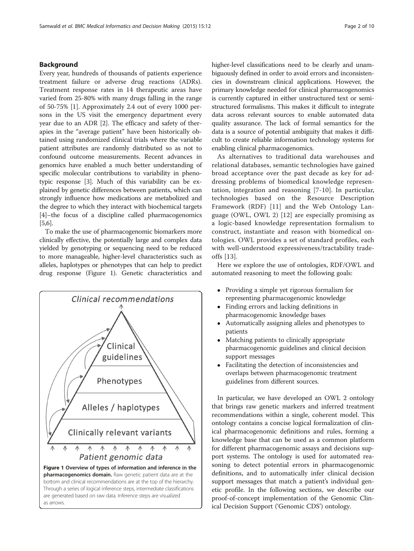# Background

Every year, hundreds of thousands of patients experience treatment failure or adverse drug reactions (ADRs). Treatment response rates in 14 therapeutic areas have varied from 25-80% with many drugs falling in the range of 50-75% [[1\]](#page-8-0). Approximately 2.4 out of every 1000 persons in the US visit the emergency department every year due to an ADR [\[2](#page-8-0)]. The efficacy and safety of therapies in the "average patient" have been historically obtained using randomized clinical trials where the variable patient attributes are randomly distributed so as not to confound outcome measurements. Recent advances in genomics have enabled a much better understanding of specific molecular contributions to variability in phenotypic response [\[3](#page-8-0)]. Much of this variability can be explained by genetic differences between patients, which can strongly influence how medications are metabolized and the degree to which they interact with biochemical targets [[4\]](#page-9-0)–the focus of a discipline called pharmacogenomics [[5,6](#page-9-0)].

To make the use of pharmacogenomic biomarkers more clinically effective, the potentially large and complex data yielded by genotyping or sequencing need to be reduced to more manageable, higher-level characteristics such as alleles, haplotypes or phenotypes that can help to predict drug response (Figure 1). Genetic characteristics and



higher-level classifications need to be clearly and unambiguously defined in order to avoid errors and inconsistencies in downstream clinical applications. However, the primary knowledge needed for clinical pharmacogenomics is currently captured in either unstructured text or semistructured formalisms. This makes it difficult to integrate data across relevant sources to enable automated data quality assurance. The lack of formal semantics for the data is a source of potential ambiguity that makes it difficult to create reliable information technology systems for enabling clinical pharmacogenomics.

As alternatives to traditional data warehouses and relational databases, semantic technologies have gained broad acceptance over the past decade as key for addressing problems of biomedical knowledge representation, integration and reasoning [\[7-10](#page-9-0)]. In particular, technologies based on the Resource Description Framework (RDF) [[11\]](#page-9-0) and the Web Ontology Language (OWL, OWL 2) [\[12](#page-9-0)] are especially promising as a logic-based knowledge representation formalism to construct, instantiate and reason with biomedical ontologies. OWL provides a set of standard profiles, each with well-understood expressiveness/tractability tradeoffs [\[13](#page-9-0)].

Here we explore the use of ontologies, RDF/OWL and automated reasoning to meet the following goals:

- Providing a simple yet rigorous formalism for representing pharmacogenomic knowledge
- Finding errors and lacking definitions in pharmacogenomic knowledge bases
- Automatically assigning alleles and phenotypes to patients
- Matching patients to clinically appropriate pharmacogenomic guidelines and clinical decision support messages
- Facilitating the detection of inconsistencies and overlaps between pharmacogenomic treatment guidelines from different sources.

In particular, we have developed an OWL 2 ontology that brings raw genetic markers and inferred treatment recommendations within a single, coherent model. This ontology contains a concise logical formalization of clinical pharmacogenomic definitions and rules, forming a knowledge base that can be used as a common platform for different pharmacogenomic assays and decisions support systems. The ontology is used for automated reasoning to detect potential errors in pharmacogenomic definitions, and to automatically infer clinical decision support messages that match a patient's individual genetic profile. In the following sections, we describe our proof-of-concept implementation of the Genomic Clinical Decision Support ('Genomic CDS') ontology.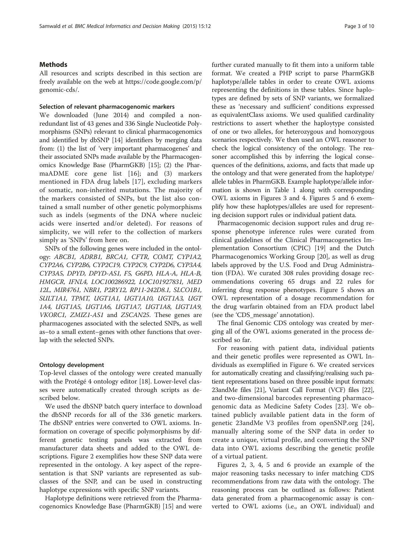# **Methods**

All resources and scripts described in this section are freely available on the web at [https://code.google.com/p/](https://code.google.com/p/genomic-cds/) [genomic-cds/.](https://code.google.com/p/genomic-cds/)

#### Selection of relevant pharmacogenomic markers

We downloaded (June 2014) and compiled a nonredundant list of 43 genes and 336 Single Nucleotide Polymorphisms (SNPs) relevant to clinical pharmacogenomics and identified by dbSNP [\[14\]](#page-9-0) identifiers by merging data from: (1) the list of 'very important pharmacogenes' and their associated SNPs made available by the Pharmacogenomics Knowledge Base (PharmGKB) [[15](#page-9-0)]; (2) the PharmaADME core gene list [[16\]](#page-9-0); and (3) markers mentioned in FDA drug labels [\[17\]](#page-9-0), excluding markers of somatic, non-inherited mutations. The majority of the markers consisted of SNPs, but the list also contained a small number of other genetic polymorphisms such as indels (segments of the DNA where nucleic acids were inserted and/or deleted). For reasons of simplicity, we will refer to the collection of markers simply as 'SNPs' from here on.

SNPs of the following genes were included in the ontology: ABCB1, ADRB1, BRCA1, CFTR, COMT, CYP1A2, CYP2A6, CYP2B6, CYP2C19, CYP2C9, CYP2D6, CYP3A4, CYP3A5, DPYD, DPYD-AS1, F5, G6PD, HLA-A, HLA-B, HMGCR, IFNL4, LOC100286922, LOC101927831, MED 12L, MIR4761, NBR1, P2RY12, RP11-242D8.1, SLCO1B1, SULT1A1, TPMT, UGT1A1, UGT1A10, UGT1A3, UGT 1A4, UGT1A5, UGT1A6, UGT1A7, UGT1A8, UGT1A9, VKORC1, ZMIZ1-AS1 and ZSCAN25. These genes are pharmacogenes associated with the selected SNPs, as well as–to a small extent–genes with other functions that overlap with the selected SNPs.

#### Ontology development

Top-level classes of the ontology were created manually with the Protégé 4 ontology editor [\[18](#page-9-0)]. Lower-level classes were automatically created through scripts as described below.

We used the dbSNP batch query interface to download the dbSNP records for all of the 336 genetic markers. The dbSNP entries were converted to OWL axioms. Information on coverage of specific polymorphisms by different genetic testing panels was extracted from manufacturer data sheets and added to the OWL descriptions. Figure [2](#page-3-0) exemplifies how these SNP data were represented in the ontology. A key aspect of the representation is that SNP variants are represented as subclasses of the SNP, and can be used in constructing haplotype expressions with specific SNP variants.

Haplotype definitions were retrieved from the Pharmacogenomics Knowledge Base (PharmGKB) [\[15\]](#page-9-0) and were further curated manually to fit them into a uniform table format. We created a PHP script to parse PharmGKB haplotype/allele tables in order to create OWL axioms representing the definitions in these tables. Since haplotypes are defined by sets of SNP variants, we formalized these as 'necessary and sufficient' conditions expressed as equivalentClass axioms. We used qualified cardinality restrictions to assert whether the haploytype consisted of one or two alleles, for heterozygous and homozygous scenarios respectively. We then used an OWL reasoner to check the logical consistency of the ontology. The reasoner accomplished this by inferring the logical consequences of the definitions, axioms, and facts that made up the ontology and that were generated from the haplotype/ allele tables in PharmGKB. Example haplotype/allele information is shown in Table [1](#page-4-0) along with corresponding OWL axioms in Figures [3](#page-4-0) and [4.](#page-5-0) Figures [5](#page-5-0) and [6](#page-6-0) exemplify how these haplotypes/alleles are used for representing decision support rules or individual patient data.

Pharmacogenomic decision support rules and drug response phenotype inference rules were curated from clinical guidelines of the Clinical Pharmacogenetics Implementation Consortium (CPIC) [[19\]](#page-9-0) and the Dutch Pharmacogenomics Working Group [\[20](#page-9-0)], as well as drug labels approved by the U.S. Food and Drug Administration (FDA). We curated 308 rules providing dosage recommendations covering 65 drugs and 22 rules for inferring drug response phenotypes. Figure [5](#page-5-0) shows an OWL representation of a dosage recommendation for the drug warfarin obtained from an FDA product label (see the 'CDS\_message' annotation).

The final Genomic CDS ontology was created by merging all of the OWL axioms generated in the process described so far.

For reasoning with patient data, individual patients and their genetic profiles were represented as OWL Individuals as exemplified in Figure [6.](#page-6-0) We created services for automatically creating and classifying/realising such patient representations based on three possible input formats: 23andMe files [[21](#page-9-0)], Variant Call Format (VCF) files [\[22](#page-9-0)], and two-dimensional barcodes representing pharmacogenomic data as Medicine Safety Codes [[23\]](#page-9-0). We obtained publicly available patient data in the form of genetic 23andMe V3 profiles from openSNP.org [[24](#page-9-0)], manually altering some of the SNP data in order to create a unique, virtual profile, and converting the SNP data into OWL axioms describing the genetic profile of a virtual patient.

Figures [2](#page-3-0), [3](#page-4-0), [4](#page-5-0), [5](#page-5-0) and [6](#page-6-0) provide an example of the major reasoning tasks necessary to infer matching CDS recommendations from raw data with the ontology. The reasoning process can be outlined as follows: Patient data generated from a pharmacogenomic assay is converted to OWL axioms (i.e., an OWL individual) and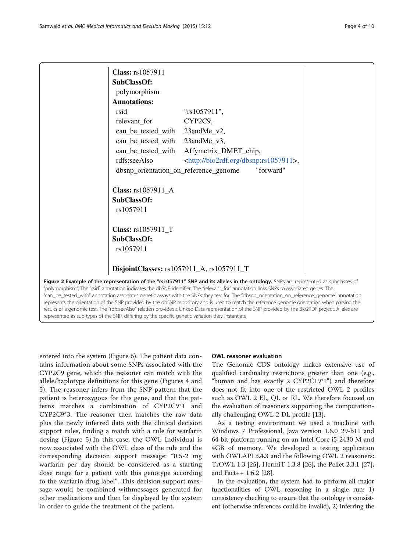<span id="page-3-0"></span>

results of a genomic test. The "rdfs:seeAlso" relation provides a Linked Data representation of the SNP provided by the Bio2RDF project. Alleles are represented as sub-types of the SNP, differing by the specific genetic variation they instantiate.

entered into the system (Figure [6\)](#page-6-0). The patient data contains information about some SNPs associated with the CYP2C9 gene, which the reasoner can match with the allele/haplotype definitions for this gene (Figures [4](#page-5-0) and [5\)](#page-5-0). The reasoner infers from the SNP pattern that the patient is heterozygous for this gene, and that the patterns matches a combination of CYP2C9\*1 and CYP2C9\*3. The reasoner then matches the raw data plus the newly inferred data with the clinical decision support rules, finding a match with a rule for warfarin dosing (Figure [5](#page-5-0)).In this case, the OWL Individual is now associated with the OWL class of the rule and the corresponding decision support message: "0.5-2 mg warfarin per day should be considered as a starting dose range for a patient with this genotype according to the warfarin drug label". This decision support message would be combined withmessages generated for other medications and then be displayed by the system in order to guide the treatment of the patient.

### OWL reasoner evaluation

The Genomic CDS ontology makes extensive use of qualified cardinality restrictions greater than one (e.g., "human and has exactly 2 CYP2C19\*1") and therefore does not fit into one of the restricted OWL 2 profiles such as OWL 2 EL, QL or RL. We therefore focused on the evaluation of reasoners supporting the computationally challenging OWL 2 DL profile [[13\]](#page-9-0).

As a testing environment we used a machine with Windows 7 Professional, Java version 1.6.0\_29-b11 and 64 bit platform running on an Intel Core i5-2430 M and 4GB of memory. We developed a testing application with OWLAPI 3.4.3 and the following OWL 2 reasoners: TrOWL 1.3 [\[25](#page-9-0)], HermiT 1.3.8 [[26](#page-9-0)], the Pellet 2.3.1 [\[27](#page-9-0)], and Fact++ 1.6.2 [\[28\]](#page-9-0).

In the evaluation, the system had to perform all major functionalities of OWL reasoning in a single run: 1) consistency checking to ensure that the ontology is consistent (otherwise inferences could be invalid), 2) inferring the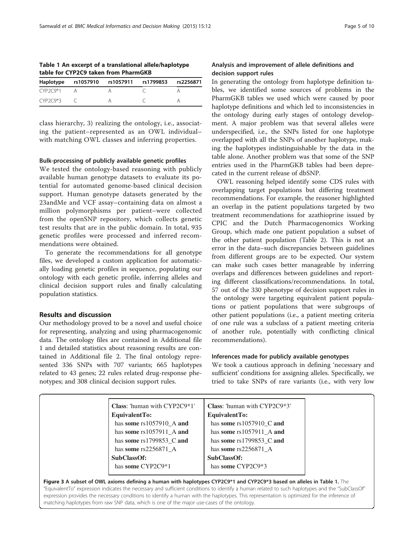<span id="page-4-0"></span>Table 1 An excerpt of a translational allele/haplotype table for CYP2C9 taken from PharmGKB

|            |  | Haplotype rs1057910 rs1057911 rs1799853 | rs2256871 |
|------------|--|-----------------------------------------|-----------|
| $CYP2C9*1$ |  |                                         |           |
| $CYP2C9*3$ |  |                                         |           |

class hierarchy, 3) realizing the ontology, i.e., associating the patient–represented as an OWL individual– with matching OWL classes and inferring properties.

#### Bulk-processing of publicly available genetic profiles

We tested the ontology-based reasoning with publicly available human genotype datasets to evaluate its potential for automated genome-based clinical decision support. Human genotype datasets generated by the 23andMe and VCF assay–containing data on almost a million polymorphisms per patient–were collected from the openSNP repository, which collects genetic test results that are in the public domain. In total, 935 genetic profiles were processed and inferred recommendations were obtained.

To generate the recommendations for all genotype files, we developed a custom application for automatically loading genetic profiles in sequence, populating our ontology with each genetic profile, inferring alleles and clinical decision support rules and finally calculating population statistics.

#### Results and discussion

Our methodology proved to be a novel and useful choice for representing, analyzing and using pharmacogenomic data. The ontology files are contained in Additional file [1](#page-8-0) and detailed statistics about reasoning results are contained in Additional file [2](#page-8-0). The final ontology represented 336 SNPs with 707 variants; 665 haplotypes related to 43 genes; 22 rules related drug-response phenotypes; and 308 clinical decision support rules.

# Analysis and improvement of allele definitions and decision support rules

In generating the ontology from haplotype definition tables, we identified some sources of problems in the PharmGKB tables we used which were caused by poor haplotype definitions and which led to inconsistencies in the ontology during early stages of ontology development. A major problem was that several alleles were underspecified, i.e., the SNPs listed for one haplotype overlapped with all the SNPs of another haplotype, making the haplotypes indistinguishable by the data in the table alone. Another problem was that some of the SNP entries used in the PharmGKB tables had been deprecated in the current release of dbSNP.

OWL reasoning helped identify some CDS rules with overlapping target populations but differing treatment recommendations. For example, the reasoner highlighted an overlap in the patient populations targeted by two treatment recommendations for azathioprine issued by CPIC and the Dutch Pharmacogenomics Working Group, which made one patient population a subset of the other patient population (Table [2](#page-6-0)). This is not an error in the data–such discrepancies between guidelines from different groups are to be expected. Our system can make such cases better manageable by inferring overlaps and differences between guidelines and reporting different classifications/recommendations. In total, 57 out of the 330 phenotype of decision support rules in the ontology were targeting equivalent patient populations or patient populations that were subgroups of other patient populations (i.e., a patient meeting criteria of one rule was a subclass of a patient meeting criteria of another rule, potentially with conflicting clinical recommendations).

#### Inferences made for publicly available genotypes

We took a cautious approach in defining 'necessary and sufficient' conditions for assigning alleles. Specifically, we tried to take SNPs of rare variants (i.e., with very low

| Class: 'human with CYP2C9*1' | Class: 'human with CYP2C9*3'                                                                                                                                                                                                                                               |  |
|------------------------------|----------------------------------------------------------------------------------------------------------------------------------------------------------------------------------------------------------------------------------------------------------------------------|--|
| EquivalentTo:                | EquivalentTo:                                                                                                                                                                                                                                                              |  |
| has some $rs1057910$ A and   | has some $rs1057910$ C and                                                                                                                                                                                                                                                 |  |
| has some $rs1057911$ A and   | has some $rs1057911$ A and                                                                                                                                                                                                                                                 |  |
| has some $rs1799853$ C and   | has some $rs1799853$ C and                                                                                                                                                                                                                                                 |  |
| has some $rs2256871$ A       | has some $rs2256871$ A                                                                                                                                                                                                                                                     |  |
| SubClassOf:                  | <b>SubClassOf:</b>                                                                                                                                                                                                                                                         |  |
| has some CYP2C9*1            | has some CYP2C9*3                                                                                                                                                                                                                                                          |  |
|                              |                                                                                                                                                                                                                                                                            |  |
|                              | Figure 3 A subset of OWL axioms defining a human with haplotypes CYP2C9*1 and CYP2C9*3 based on alleles in Table 1. The<br>"EquivalentTo" expression indicates the necessary and sufficient conditions to identify a human related to such haplotypes and the "SubClassOf" |  |

"EquivalentTo" expression indicates the necessary and sufficient conditions to identify a human related to such haplotypes and the "SubClassOf" expression provides the necessary conditions to identify a human with the haplotypes. This representation is optimized for the inference of matching haplotypes from raw SNP data, which is one of the major use-cases of the ontology.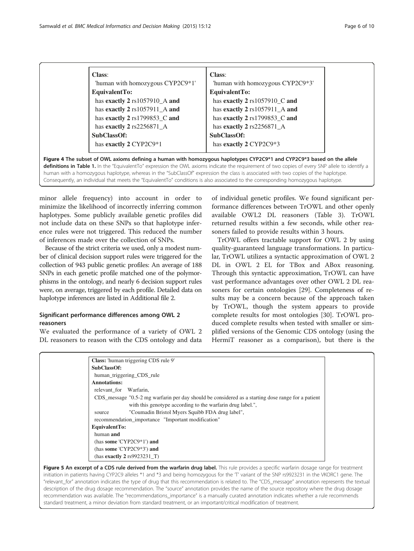<span id="page-5-0"></span>

minor allele frequency) into account in order to minimize the likelihood of incorrectly inferring common haplotypes. Some publicly available genetic profiles did not include data on these SNPs so that haplotype inference rules were not triggered. This reduced the number of inferences made over the collection of SNPs.

Because of the strict criteria we used, only a modest number of clinical decision support rules were triggered for the collection of 943 public genetic profiles: An average of 188 SNPs in each genetic profile matched one of the polymorphisms in the ontology, and nearly 6 decision support rules were, on average, triggered by each profile. Detailed data on haplotype inferences are listed in Additional file [2](#page-8-0).

# Significant performance differences among OWL 2 reasoners

We evaluated the performance of a variety of OWL 2 DL reasoners to reason with the CDS ontology and data of individual genetic profiles. We found significant performance differences between TrOWL and other openly available OWL2 DL reasoners (Table [3](#page-7-0)). TrOWL returned results within a few seconds, while other reasoners failed to provide results within 3 hours.

TrOWL offers tractable support for OWL 2 by using quality-guaranteed language transformations. In particular, TrOWL utilizes a syntactic approximation of OWL 2 DL in OWL 2 EL for TBox and ABox reasoning. Through this syntactic approximation, TrOWL can have vast performance advantages over other OWL 2 DL reasoners for certain ontologies [\[29](#page-9-0)]. Completeness of results may be a concern because of the approach taken by TrOWL, though the system appears to provide complete results for most ontologies [[30\]](#page-9-0). TrOWL produced complete results when tested with smaller or simplified versions of the Genomic CDS ontology (using the HermiT reasoner as a comparison), but there is the

| <b>Class:</b> 'human triggering CDS rule 9' |                                                                                                                                                                  |  |
|---------------------------------------------|------------------------------------------------------------------------------------------------------------------------------------------------------------------|--|
| SubClassOf:                                 |                                                                                                                                                                  |  |
| human_triggering_CDS_rule                   |                                                                                                                                                                  |  |
| <b>Annotations:</b>                         |                                                                                                                                                                  |  |
| relevant for                                | Warfarin,                                                                                                                                                        |  |
|                                             | CDS_message "0.5-2 mg warfarin per day should be considered as a starting dose range for a patient<br>with this genotype according to the warfarin drug label.", |  |
| source                                      | "Coumadin Bristol Myers Squibb FDA drug label",<br>recommendation importance "Important modification"                                                            |  |
| EquivalentTo:                               |                                                                                                                                                                  |  |
| human and                                   |                                                                                                                                                                  |  |
| (has some 'CYP2C9 $*1$ ') and               |                                                                                                                                                                  |  |
|                                             | (has some 'CYP2C9*3') and                                                                                                                                        |  |
| (has <b>exactly 2</b> $rs9923231$ T)        |                                                                                                                                                                  |  |

Figure 5 An excerpt of a CDS rule derived from the warfarin drug label. This rule provides a specific warfarin dosage range for treatment initiation in patients having CYP2C9 alleles \*1 and \*3 and being homozygous for the T' variant of the SNP rs9923231 in the VKORC1 gene. The "relevant\_for" annotation indicates the type of drug that this recommendation is related to. The "CDS\_message" annotation represents the textual description of the drug dosage recommendation. The "source" annotation provides the name of the source repository where the drug dosage recommendation was available. The "recommendations\_importance" is a manually curated annotation indicates whether a rule recommends standard treatment, a minor deviation from standard treatment, or an important/critical modification of treatment.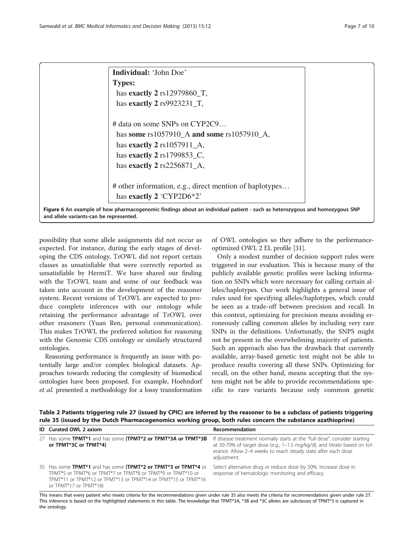<span id="page-6-0"></span>

and allele variants-can be represented.

possibility that some allele assignments did not occur as expected. For instance, during the early stages of developing the CDS ontology, TrOWL did not report certain classes as unsatisfiable that were correctly reported as unsatisfiable by HermiT. We have shared our finding with the TrOWL team and some of our feedback was taken into account in the development of the reasoner system. Recent versions of TrOWL are expected to produce complete inferences with our ontology while retaining the performance advantage of TrOWL over other reasoners (Yuan Ren, personal communication). This makes TrOWL the preferred solution for reasoning with the Genomic CDS ontology or similarly structured ontologies.

Reasoning performance is frequently an issue with potentially large and/or complex biological datasets. Approaches towards reducing the complexity of biomedical ontologies have been proposed. For example, Hoehndorf et al. presented a methodology for a lossy transformation

of OWL ontologies so they adhere to the performanceoptimized OWL 2 EL profile [\[31\]](#page-9-0).

Only a modest number of decision support rules were triggered in our evaluation. This is because many of the publicly available genetic profiles were lacking information on SNPs which were necessary for calling certain alleles/haplotypes. Our work highlights a general issue of rules used for specifying alleles/haplotypes, which could be seen as a trade-off between precision and recall. In this context, optimizing for precision means avoiding erroneously calling common alleles by including very rare SNPs in the definitions. Unfortunatly, the SNPS might not be present in the overwhelming majority of patients. Such an approach also has the drawback that currently available, array-based genetic test might not be able to produce results covering all these SNPs. Optimizing for recall, on the other hand, means accepting that the system might not be able to provide recommendations specific to rare variants because only common genetic

Table 2 Patients triggering rule 27 (issued by CPIC) are inferred by the reasoner to be a subclass of patients triggering rule 35 (issued by the Dutch Pharmacogenomics working group, both rules concern the substance azathioprine)

| <b>ID</b> Curated OWL 2 axiom                                                                                                                                                                                              | Recommendation                                                                                                                                                                                                                          |  |
|----------------------------------------------------------------------------------------------------------------------------------------------------------------------------------------------------------------------------|-----------------------------------------------------------------------------------------------------------------------------------------------------------------------------------------------------------------------------------------|--|
| 27 Has some TPMT*1 and has some (TPMT*2 or TPMT*3A or TPMT*3B<br>or TPMT*3C or TPMT*4)                                                                                                                                     | If disease treatment normally starts at the "full dose", consider starting<br>at 30-70% of target dose (e.g., 1–1.5 mg/kg/d), and titrate based on tol-<br>erance. Allow 2-4 weeks to reach steady state after each dose<br>adjustment. |  |
| 35 Has some TPMT*1 and has some (TPMT*2 or TPMT*3 or TPMT*4 or<br>TPMT*5 or TPMT*6 or TPMT*7 or TPMT*8 or TPMT*9 or TPMT*10 or<br>TPMT*11 or TPMT*12 or TPMT*13 or TPMT*14 or TPMT*15 or TPMT*16<br>or TPMT*17 or TPMT*18) | Select alternative drug or reduce dose by 50%. Increase dose in<br>response of hematologic monitoring and efficacy.                                                                                                                     |  |

This means that every patient who meets criteria for the recommendations given under rule 35 also meets the criteria for recommendations given under rule 27. This inference is based on the highlighted statements in this table. The knowledge that TPMT\*3A, \*3B and \*3C alleles are subclasses of TPMT\*3 is captured in the ontology.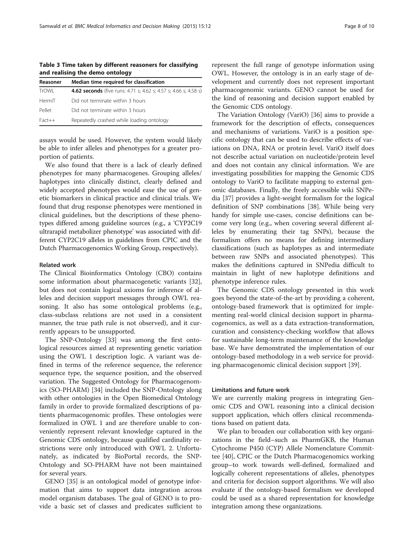<span id="page-7-0"></span>Table 3 Time taken by different reasoners for classifying and realising the demo ontology

| Reasoner   | Median time required for classification                                 |  |
|------------|-------------------------------------------------------------------------|--|
| TrOWI      | <b>4.62 seconds</b> (five runs: 4.71 s; 4.62 s; 4.57 s; 4.66 s; 4.58 s) |  |
| HermiT     | Did not terminate within 3 hours                                        |  |
| Pellet     | Did not terminate within 3 hours                                        |  |
| $Factor++$ | Repeatedly crashed while loading ontology                               |  |

assays would be used. However, the system would likely be able to infer alleles and phenotypes for a greater proportion of patients.

We also found that there is a lack of clearly defined phenotypes for many pharmacogenes. Grouping alleles/ haplotypes into clinically distinct, clearly defined and widely accepted phenotypes would ease the use of genetic biomarkers in clinical practice and clinical trials. We found that drug response phenotypes were mentioned in clinical guidelines, but the descriptions of these phenotypes differed among guideline sources (e.g., a 'CYP2C19 ultrarapid metabolizer phenotype' was associated with different CYP2C19 alleles in guidelines from CPIC and the Dutch Pharmacogenomics Working Group, respectively).

# Related work

The Clinical Bioinformatics Ontology (CBO) contains some information about pharmacogenetic variants [\[32](#page-9-0)], but does not contain logical axioms for inference of alleles and decision support messages through OWL reasoning. It also has some ontological problems (e.g., class-subclass relations are not used in a consistent manner, the true path rule is not observed), and it currently appears to be unsupported.

The SNP-Ontology [[33\]](#page-9-0) was among the first ontological resources aimed at representing genetic variation using the OWL 1 description logic. A variant was defined in terms of the reference sequence, the reference sequence type, the sequence position, and the observed variation. The Suggested Ontology for Pharmacogenomics (SO-PHARM) [\[34\]](#page-9-0) included the SNP-Ontology along with other ontologies in the Open Biomedical Ontology family in order to provide formalized descriptions of patients pharmacogenomic profiles. These ontologies were formalized in OWL 1 and are therefore unable to conveniently represent relevant knowledge captured in the Genomic CDS ontology, because qualified cardinality restrictions were only introduced with OWL 2. Unfortunately, as indicated by BioPortal records, the SNP-Ontology and SO-PHARM have not been maintained for several years.

GENO [\[35\]](#page-9-0) is an ontological model of genotype information that aims to support data integration across model organism databases. The goal of GENO is to provide a basic set of classes and predicates sufficient to

represent the full range of genotype information using OWL. However, the ontology is in an early stage of development and currently does not represent important pharmacogenomic variants. GENO cannot be used for the kind of reasoning and decision support enabled by the Genomic CDS ontology.

The Variation Ontology (VariO) [[36\]](#page-9-0) aims to provide a framework for the description of effects, consequences and mechanisms of variations. VariO is a position specific ontology that can be used to describe effects of variations on DNA, RNA or protein level. VariO itself does not describe actual variation on nucleotide/protein level and does not contain any clinical information. We are investigating possibilities for mapping the Genomic CDS ontology to VariO to facilitate mapping to external genomic databases. Finally, the freely accessible wiki SNPedia [\[37](#page-9-0)] provides a light-weight formalism for the logical definition of SNP combinations [\[38\]](#page-9-0). While being very handy for simple use-cases, concise definitions can become very long (e.g., when covering several different alleles by enumerating their tag SNPs), because the formalism offers no means for defining intermediary classifications (such as haplotypes as and intermediate between raw SNPs and associated phenotypes). This makes the definitions captured in SNPedia difficult to maintain in light of new haplotype definitions and phenotype inference rules.

The Genomic CDS ontology presented in this work goes beyond the state-of-the-art by providing a coherent, ontology-based framework that is optimized for implementing real-world clinical decision support in pharmacogenomics, as well as a data extraction-transformation, curation and consistency-checking workflow that allows for sustainable long-term maintenance of the knowledge base. We have demonstrated the implementation of our ontology-based methodology in a web service for providing pharmacogenomic clinical decision support [[39](#page-9-0)].

# Limitations and future work

We are currently making progress in integrating Genomic CDS and OWL reasoning into a clinical decision support application, which offers clinical recommendations based on patient data.

We plan to broaden our collaboration with key organizations in the field–such as PharmGKB, the Human Cytochrome P450 (CYP) Allele Nomenclature Committee [[40\]](#page-9-0), CPIC or the Dutch Pharmacogenomics working group–to work towards well-defined, formalized and logically coherent representations of alleles, phenotypes and criteria for decision support algorithms. We will also evaluate if the ontology-based formalism we developed could be used as a shared representation for knowledge integration among these organizations.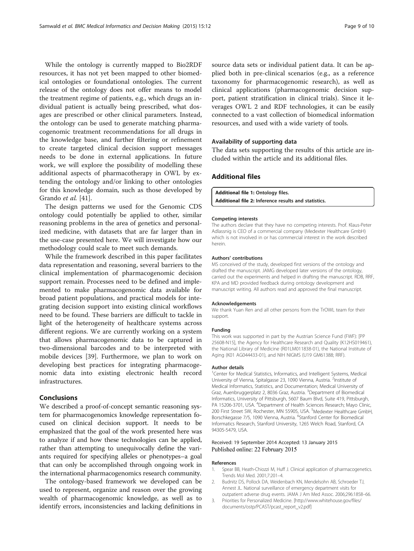<span id="page-8-0"></span>While the ontology is currently mapped to Bio2RDF resources, it has not yet been mapped to other biomedical ontologies or foundational ontologies. The current release of the ontology does not offer means to model the treatment regime of patients, e.g., which drugs an individual patient is actually being prescribed, what dosages are prescribed or other clinical parameters. Instead, the ontology can be used to generate matching pharmacogenomic treatment recommendations for all drugs in the knowledge base, and further filtering or refinement to create targeted clinical decision support messages needs to be done in external applications. In future work, we will explore the possibility of modelling these additional aspects of pharmacotherapy in OWL by extending the ontology and/or linking to other ontologies for this knowledge domain, such as those developed by Grando et al. [\[41](#page-9-0)].

The design patterns we used for the Genomic CDS ontology could potentially be applied to other, similar reasoning problems in the area of genetics and personalized medicine, with datasets that are far larger than in the use-case presented here. We will investigate how our methodology could scale to meet such demands.

While the framework described in this paper facilitates data representation and reasoning, several barriers to the clinical implementation of pharmacogenomic decision support remain. Processes need to be defined and implemented to make pharmacogenomic data available for broad patient populations, and practical models for integrating decision support into existing clinical workflows need to be found. These barriers are difficult to tackle in light of the heterogeneity of healthcare systems across different regions. We are currently working on a system that allows pharmacogenomic data to be captured in two-dimensional barcodes and to be interpreted with mobile devices [\[39\]](#page-9-0). Furthermore, we plan to work on developing best practices for integrating pharmacogenomic data into existing electronic health record infrastructures.

# Conclusions

We described a proof-of-concept semantic reasoning system for pharmacogenomics knowledge representation focused on clinical decision support. It needs to be emphasized that the goal of the work presented here was to analyze if and how these technologies can be applied, rather than attempting to unequivocally define the variants required for specifying alleles or phenotypes–a goal that can only be accomplished through ongoing work in the international pharmacogenomics research community.

The ontology-based framework we developed can be used to represent, organize and reason over the growing wealth of pharmacogenomic knowledge, as well as to identify errors, inconsistencies and lacking definitions in source data sets or individual patient data. It can be applied both in pre-clinical scenarios (e.g., as a reference taxonomy for pharmacogenomic research), as well as clinical applications (pharmacogenomic decision support, patient stratification in clinical trials). Since it leverages OWL 2 and RDF technologies, it can be easily connected to a vast collection of biomedical information resources, and used with a wide variety of tools.

#### Availability of supporting data

The data sets supporting the results of this article are included within the article and its additional files.

# Additional files

[Additional file 1:](http://www.biomedcentral.com/content/supplementary/s12911-015-0130-1-s1.zip) Ontology files. [Additional file 2:](http://www.biomedcentral.com/content/supplementary/s12911-015-0130-1-s2.zip) Inference results and statistics.

#### Competing interests

The authors declare that they have no competing interests. Prof. Klaus-Peter Adlassnig is CEO of a commercial company (Medexter Healthcare GmbH) which is not involved in or has commercial interest in the work described herein.

#### Authors' contributions

MS conceived of the study, developed first versions of the ontology and drafted the manuscript. JAMG developed later versions of the ontology, carried out the experiments and helped in drafting the manuscript. RDB, RRF, KPA and MD provided feedback during ontology development and manuscript writing. All authors read and approved the final manuscript.

#### Acknowledgements

We thank Yuan Ren and all other persons from the TrOWL team for their support.

#### Funding

This work was supported in part by the Austrian Science Fund (FWF): [PP 25608-N15], the Agency for Healthcare Research and Quality (K12HS019461), the National Library of Medicine (R01LM011838-01), the National Institute of Aging (K01 AG044433-01), and NIH NIGMS (U19 GM61388; RRF).

#### Author details

<sup>1</sup> Center for Medical Statistics, Informatics, and Intelligent Systems, Medical University of Vienna, Spitalgasse 23, 1090 Vienna, Austria. <sup>2</sup>Institute of Medical Informatics, Statistics, and Documentation; Medical University of Graz, Auenbruggerplatz 2, 8036 Graz, Austria. <sup>3</sup>Department of Biomedical Informatics, University of Pittsburgh, 5607 Baum Blvd, Suite 419, Pittsburgh, PA 15206-3701, USA. <sup>4</sup>Department of Health Sciences Research; Mayo Clinic, 200 First Street SW, Rochester, MN 55905, USA. <sup>5</sup>Medexter Healthcare GmbH Borschkegasse 7/5, 1090 Vienna, Austria. <sup>6</sup>Stanford Center for Biomedical Informatics Research, Stanford University, 1265 Welch Road, Stanford, CA 94305-5479, USA.

#### Received: 19 September 2014 Accepted: 13 January 2015 Published online: 22 February 2015

#### References

- 1. Spear BB, Heath-Chiozzi M, Huff J. Clinical application of pharmacogenetics. Trends Mol Med. 2001;7:201–4.
- 2. Budnitz DS, Pollock DA, Weidenbach KN, Mendelsohn AB, Schroeder TJ, Annest JL. National surveillance of emergency department visits for outpatient adverse drug events. JAMA J Am Med Assoc. 2006;296:1858–66.
- 3. Priorities for Personalized Medicine. [[http://www.whitehouse.gov/files/](http://www.whitehouse.gov/files/documents/ostp/PCAST/pcast_report_v2.pdf) [documents/ostp/PCAST/pcast\\_report\\_v2.pdf\]](http://www.whitehouse.gov/files/documents/ostp/PCAST/pcast_report_v2.pdf)